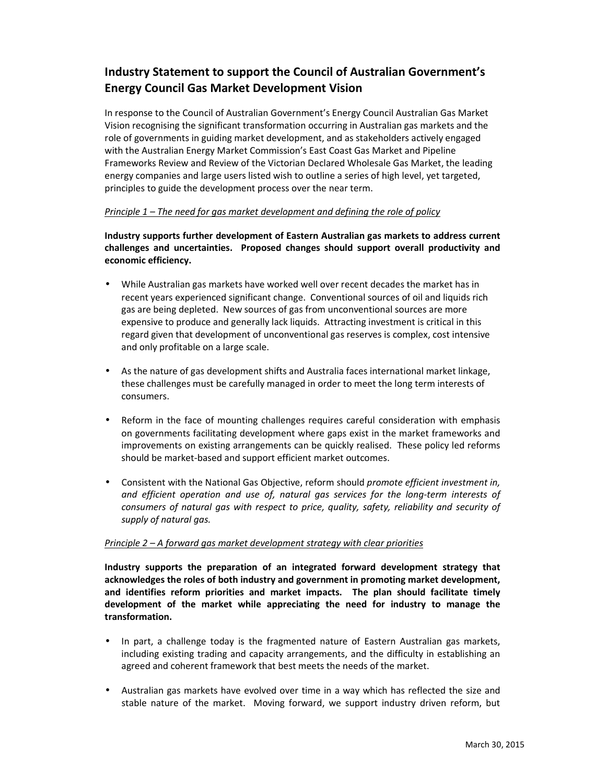# **Industry Statement to support the Council of Australian Government's Energy Council Gas Market Development Vision**

In response to the Council of Australian Government's Energy Council Australian Gas Market Vision recognising the significant transformation occurring in Australian gas markets and the role of governments in guiding market development, and as stakeholders actively engaged with the Australian Energy Market Commission's East Coast Gas Market and Pipeline Frameworks Review and Review of the Victorian Declared Wholesale Gas Market, the leading energy companies and large users listed wish to outline a series of high level, yet targeted, principles to guide the development process over the near term.

## *Principle 1 – The need for gas market development and defining the role of policy*

**Industry supports further development of Eastern Australian gas markets to address current challenges and uncertainties. Proposed changes should support overall productivity and economic efficiency.** 

- While Australian gas markets have worked well over recent decades the market has in recent years experienced significant change. Conventional sources of oil and liquids rich gas are being depleted. New sources of gas from unconventional sources are more expensive to produce and generally lack liquids. Attracting investment is critical in this regard given that development of unconventional gas reserves is complex, cost intensive and only profitable on a large scale.
- As the nature of gas development shifts and Australia faces international market linkage, these challenges must be carefully managed in order to meet the long term interests of consumers.
- Reform in the face of mounting challenges requires careful consideration with emphasis on governments facilitating development where gaps exist in the market frameworks and improvements on existing arrangements can be quickly realised. These policy led reforms should be market-based and support efficient market outcomes.
- Consistent with the National Gas Objective, reform should *promote efficient investment in, and efficient operation and use of, natural gas services for the long-term interests of consumers of natural gas with respect to price, quality, safety, reliability and security of supply of natural gas.*

### *Principle 2 – A forward gas market development strategy with clear priorities*

**Industry supports the preparation of an integrated forward development strategy that acknowledges the roles of both industry and government in promoting market development, and identifies reform priorities and market impacts. The plan should facilitate timely development of the market while appreciating the need for industry to manage the transformation.** 

- In part, a challenge today is the fragmented nature of Eastern Australian gas markets, including existing trading and capacity arrangements, and the difficulty in establishing an agreed and coherent framework that best meets the needs of the market.
- Australian gas markets have evolved over time in a way which has reflected the size and stable nature of the market. Moving forward, we support industry driven reform, but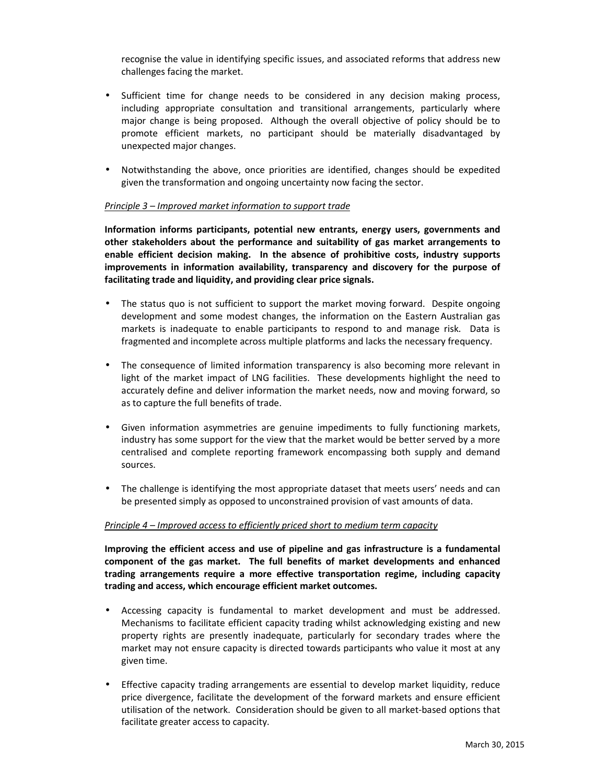recognise the value in identifying specific issues, and associated reforms that address new challenges facing the market.

- Sufficient time for change needs to be considered in any decision making process, including appropriate consultation and transitional arrangements, particularly where major change is being proposed. Although the overall objective of policy should be to promote efficient markets, no participant should be materially disadvantaged by unexpected major changes.
- Notwithstanding the above, once priorities are identified, changes should be expedited given the transformation and ongoing uncertainty now facing the sector.

### *Principle 3 – Improved market information to support trade*

**Information informs participants, potential new entrants, energy users, governments and other stakeholders about the performance and suitability of gas market arrangements to enable efficient decision making. In the absence of prohibitive costs, industry supports improvements in information availability, transparency and discovery for the purpose of facilitating trade and liquidity, and providing clear price signals.**

- The status quo is not sufficient to support the market moving forward. Despite ongoing development and some modest changes, the information on the Eastern Australian gas markets is inadequate to enable participants to respond to and manage risk. Data is fragmented and incomplete across multiple platforms and lacks the necessary frequency.
- The consequence of limited information transparency is also becoming more relevant in light of the market impact of LNG facilities. These developments highlight the need to accurately define and deliver information the market needs, now and moving forward, so as to capture the full benefits of trade.
- Given information asymmetries are genuine impediments to fully functioning markets, industry has some support for the view that the market would be better served by a more centralised and complete reporting framework encompassing both supply and demand sources.
- The challenge is identifying the most appropriate dataset that meets users' needs and can be presented simply as opposed to unconstrained provision of vast amounts of data.

#### *Principle 4 – Improved access to efficiently priced short to medium term capacity*

**Improving the efficient access and use of pipeline and gas infrastructure is a fundamental component of the gas market. The full benefits of market developments and enhanced trading arrangements require a more effective transportation regime, including capacity trading and access, which encourage efficient market outcomes.** 

- Accessing capacity is fundamental to market development and must be addressed. Mechanisms to facilitate efficient capacity trading whilst acknowledging existing and new property rights are presently inadequate, particularly for secondary trades where the market may not ensure capacity is directed towards participants who value it most at any given time.
- Effective capacity trading arrangements are essential to develop market liquidity, reduce price divergence, facilitate the development of the forward markets and ensure efficient utilisation of the network. Consideration should be given to all market-based options that facilitate greater access to capacity.